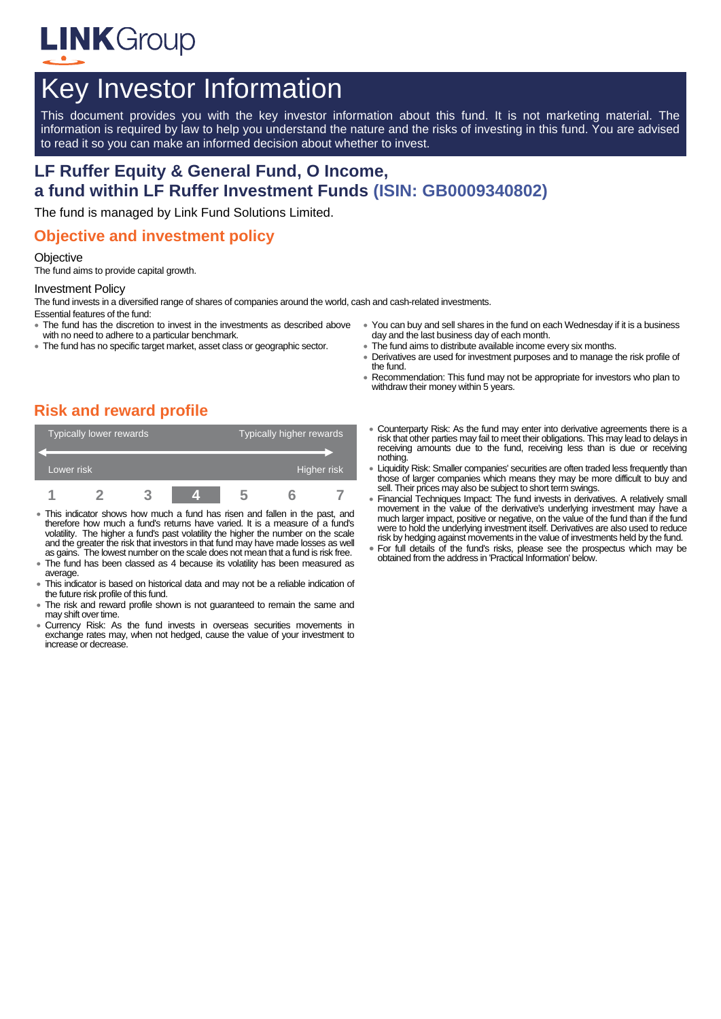

# Key Investor Information

This document provides you with the key investor information about this fund. It is not marketing material. The information is required by law to help you understand the nature and the risks of investing in this fund. You are advised to read it so you can make an informed decision about whether to invest.

# **LF Ruffer Equity & General Fund, O Income, a fund within LF Ruffer Investment Funds (ISIN: GB0009340802)**

The fund is managed by Link Fund Solutions Limited.

### **Objective and investment policy**

#### **Objective**

The fund aims to provide capital growth.

#### Investment Policy

The fund invests in a diversified range of shares of companies around the world, cash and cash-related investments. Essential features of the fund:

- The fund has the discretion to invest in the investments as described above with no need to adhere to a particular benchmark.
- The fund has no specific target market, asset class or geographic sector.
- You can buy and sell shares in the fund on each Wednesday if it is a business day and the last business day of each month.
- The fund aims to distribute available income every six months.
- Derivatives are used for investment purposes and to manage the risk profile of the fund.
- Recommendation: This fund may not be appropriate for investors who plan to withdraw their money within 5 years.

# **Risk and reward profile**

|            | Typically lower rewards |  |  | Typically higher rewards |  |  |
|------------|-------------------------|--|--|--------------------------|--|--|
|            |                         |  |  |                          |  |  |
| Lower risk |                         |  |  | Higher risk <sup>1</sup> |  |  |
|            |                         |  |  |                          |  |  |

- This indicator shows how much a fund has risen and fallen in the past, and therefore how much a fund's returns have varied. It is a measure of a fund's volatility. The higher a fund's past volatility the higher the number on the scale and the greater the risk that investors in that fund may have made losses as well as gains. The lowest number on the scale does not mean that a fund is risk free.
- The fund has been classed as 4 because its volatility has been measured as average.
- This indicator is based on historical data and may not be a reliable indication of the future risk profile of this fund.
- The risk and reward profile shown is not guaranteed to remain the same and may shift over time.
- Currency Risk: As the fund invests in overseas securities movements in exchange rates may, when not hedged, cause the value of your investment to increase or decrease.
- Counterparty Risk: As the fund may enter into derivative agreements there is a risk that other parties may fail to meet their obligations. This may lead to delays in receiving amounts due to the fund, receiving less than is due or receiving nothing.
- Liquidity Risk: Smaller companies' securities are often traded less frequently than those of larger companies which means they may be more difficult to buy and sell. Their prices may also be subject to short term swings.
- Financial Techniques Impact: The fund invests in derivatives. A relatively small movement in the value of the derivative's underlying investment may have a much larger impact, positive or negative, on the value of the fund than if the fund were to hold the underlying investment itself. Derivatives are also used to reduce risk by hedging against movements in the value of investments held by the fund.
- For full details of the fund's risks, please see the prospectus which may be obtained from the address in 'Practical Information' below.